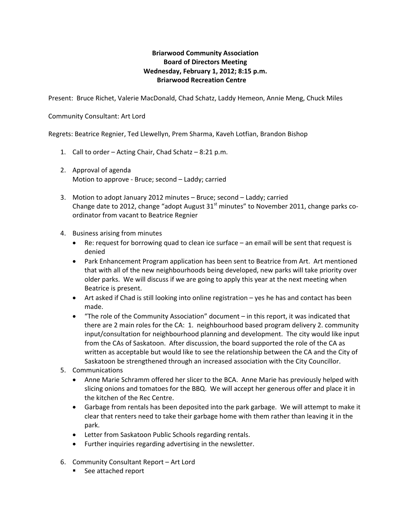## **Briarwood Community Association Board of Directors Meeting Wednesday, February 1, 2012; 8:15 p.m. Briarwood Recreation Centre**

Present: Bruce Richet, Valerie MacDonald, Chad Schatz, Laddy Hemeon, Annie Meng, Chuck Miles

## Community Consultant: Art Lord

Regrets: Beatrice Regnier, Ted Llewellyn, Prem Sharma, Kaveh Lotfian, Brandon Bishop

- 1. Call to order Acting Chair, Chad Schatz 8:21 p.m.
- 2. Approval of agenda Motion to approve ‐ Bruce; second – Laddy; carried
- 3. Motion to adopt January 2012 minutes Bruce; second Laddy; carried Change date to 2012, change "adopt August  $31<sup>st</sup>$  minutes" to November 2011, change parks coordinator from vacant to Beatrice Regnier
- 4. Business arising from minutes
	- Re: request for borrowing quad to clean ice surface an email will be sent that request is denied
	- Park Enhancement Program application has been sent to Beatrice from Art. Art mentioned that with all of the new neighbourhoods being developed, new parks will take priority over older parks. We will discuss if we are going to apply this year at the next meeting when Beatrice is present.
	- Art asked if Chad is still looking into online registration yes he has and contact has been made.
	- "The role of the Community Association" document in this report, it was indicated that there are 2 main roles for the CA: 1. neighbourhood based program delivery 2. community input/consultation for neighbourhood planning and development. The city would like input from the CAs of Saskatoon. After discussion, the board supported the role of the CA as written as acceptable but would like to see the relationship between the CA and the City of Saskatoon be strengthened through an increased association with the City Councillor.
- 5. Communications
	- Anne Marie Schramm offered her slicer to the BCA. Anne Marie has previously helped with slicing onions and tomatoes for the BBQ. We will accept her generous offer and place it in the kitchen of the Rec Centre.
	- Garbage from rentals has been deposited into the park garbage. We will attempt to make it clear that renters need to take their garbage home with them rather than leaving it in the park.
	- Letter from Saskatoon Public Schools regarding rentals.
	- Further inquiries regarding advertising in the newsletter.
- 6. Community Consultant Report Art Lord
	- See attached report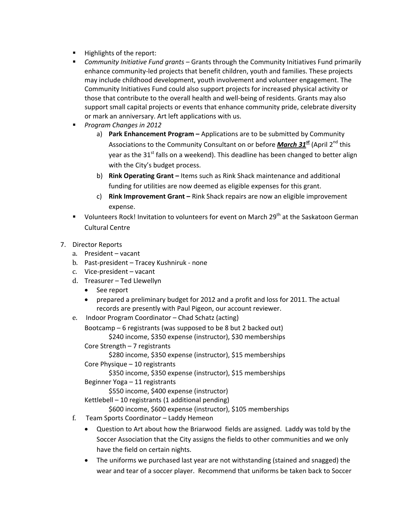- **Highlights of the report:**
- *Community Initiative Fund grants* Grants through the Community Initiatives Fund primarily enhance community-led projects that benefit children, youth and families. These projects may include childhood development, youth involvement and volunteer engagement. The Community Initiatives Fund could also support projects for increased physical activity or those that contribute to the overall health and well‐being of residents. Grants may also support small capital projects or events that enhance community pride, celebrate diversity or mark an anniversary. Art left applications with us.
- *Program Changes in 2012*
	- a) **Park Enhancement Program –** Applications are to be submitted by Community Associations to the Community Consultant on or before *March 31st* (April 2nd this year as the  $31<sup>st</sup>$  falls on a weekend). This deadline has been changed to better align with the City's budget process.
	- b) **Rink Operating Grant –** Items such as Rink Shack maintenance and additional funding for utilities are now deemed as eligible expenses for this grant.
	- c) **Rink Improvement Grant –** Rink Shack repairs are now an eligible improvement expense.
- Uolunteers Rock! Invitation to volunteers for event on March 29<sup>th</sup> at the Saskatoon German Cultural Centre
- 7. Director Reports
	- a. President vacant
	- b. Past-president Tracey Kushniruk none
	- c. Vice-president vacant
	- d. Treasurer Ted Llewellyn
		- See report
		- prepared a preliminary budget for 2012 and a profit and loss for 2011. The actual records are presently with Paul Pigeon, our account reviewer.
	- e. Indoor Program Coordinator Chad Schatz (acting)

Bootcamp – 6 registrants (was supposed to be 8 but 2 backed out)

\$240 income, \$350 expense (instructor), \$30 memberships

Core Strength – 7 registrants

\$280 income, \$350 expense (instructor), \$15 memberships

Core Physique – 10 registrants

\$350 income, \$350 expense (instructor), \$15 memberships

Beginner Yoga – 11 registrants

\$550 income, \$400 expense (instructor)

Kettlebell  $-10$  registrants (1 additional pending)

\$600 income, \$600 expense (instructor), \$105 memberships

- f. Team Sports Coordinator Laddy Hemeon
	- Question to Art about how the Briarwood fields are assigned. Laddy was told by the Soccer Association that the City assigns the fields to other communities and we only have the field on certain nights.
	- The uniforms we purchased last year are not withstanding (stained and snagged) the wear and tear of a soccer player. Recommend that uniforms be taken back to Soccer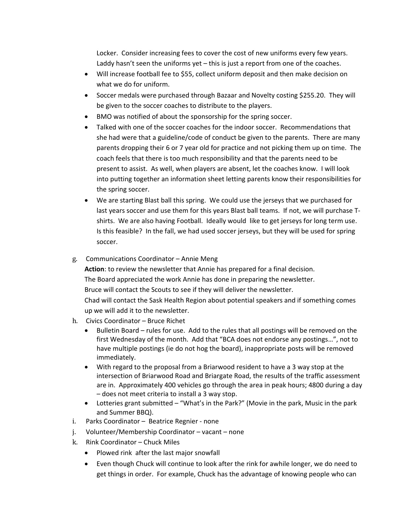Locker. Consider increasing fees to cover the cost of new uniforms every few years. Laddy hasn't seen the uniforms yet – this is just a report from one of the coaches.

- Will increase football fee to \$55, collect uniform deposit and then make decision on what we do for uniform.
- Soccer medals were purchased through Bazaar and Novelty costing \$255.20. They will be given to the soccer coaches to distribute to the players.
- BMO was notified of about the sponsorship for the spring soccer.
- Talked with one of the soccer coaches for the indoor soccer. Recommendations that she had were that a guideline/code of conduct be given to the parents. There are many parents dropping their 6 or 7 year old for practice and not picking them up on time. The coach feels that there is too much responsibility and that the parents need to be present to assist. As well, when players are absent, let the coaches know. I will look into putting together an information sheet letting parents know their responsibilities for the spring soccer.
- We are starting Blast ball this spring. We could use the jerseys that we purchased for last years soccer and use them for this years Blast ball teams. If not, we will purchase T‐ shirts. We are also having Football. Ideally would like to get jerseys for long term use. Is this feasible? In the fall, we had used soccer jerseys, but they will be used for spring soccer.
- g. Communications Coordinator Annie Meng

**Action**: to review the newsletter that Annie has prepared for a final decision. The Board appreciated the work Annie has done in preparing the newsletter. Bruce will contact the Scouts to see if they will deliver the newsletter. Chad will contact the Sask Health Region about potential speakers and if something comes up we will add it to the newsletter.

- h. Civics Coordinator Bruce Richet
	- Bulletin Board rules for use. Add to the rules that all postings will be removed on the first Wednesday of the month. Add that "BCA does not endorse any postings…", not to have multiple postings (ie do not hog the board), inappropriate posts will be removed immediately.
	- With regard to the proposal from a Briarwood resident to have a 3 way stop at the intersection of Briarwood Road and Briargate Road, the results of the traffic assessment are in. Approximately 400 vehicles go through the area in peak hours; 4800 during a day – does not meet criteria to install a 3 way stop.
	- Lotteries grant submitted "What's in the Park?" (Movie in the park, Music in the park and Summer BBQ).
- i. Parks Coordinator Beatrice Regnier ‐ none
- j. Volunteer/Membership Coordinator – vacant – none
- k. Rink Coordinator Chuck Miles
	- Plowed rink after the last major snowfall
	- Even though Chuck will continue to look after the rink for awhile longer, we do need to get things in order. For example, Chuck has the advantage of knowing people who can